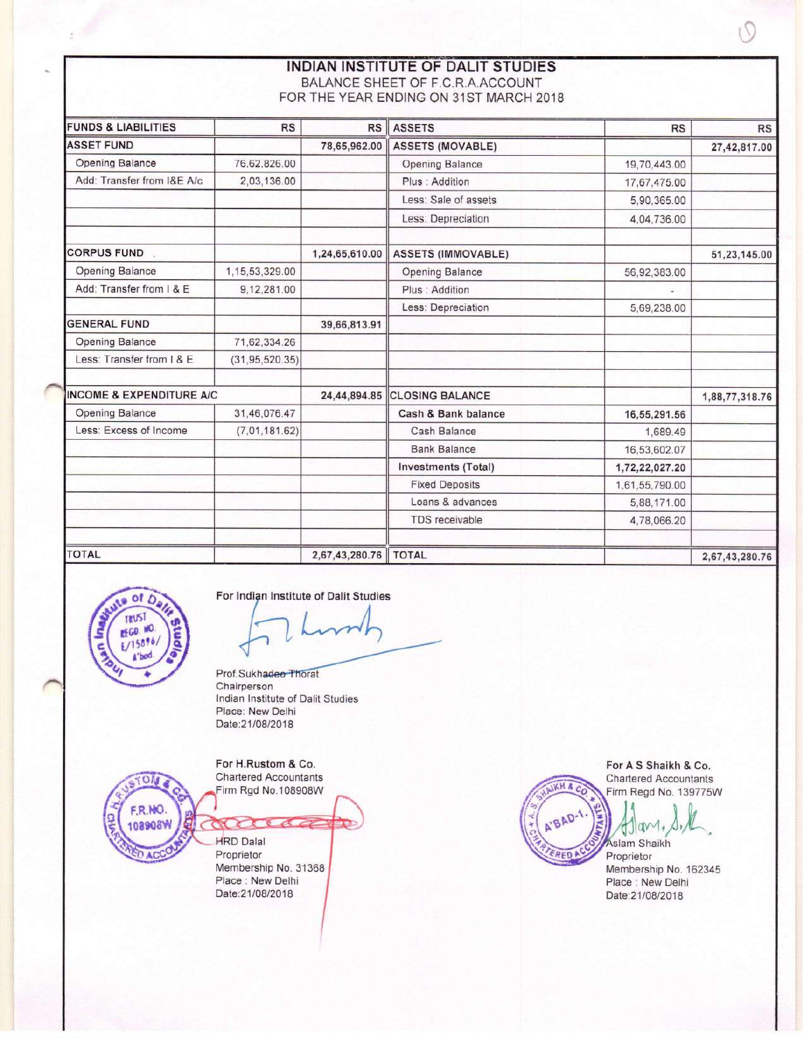**INDIAN INSTITUTE OF DALIT STUDIES** BALANCE SHEET OF F.C.R.A.ACCOUNT FOR THE YEAR ENDING ON 31ST MARCH 2018

| <b>FUNDS &amp; LIABILITIES</b>      | <b>RS</b>        | RS             | <b>ASSETS</b>                | <b>RS</b>      | <b>RS</b>      |
|-------------------------------------|------------------|----------------|------------------------------|----------------|----------------|
| <b>ASSET FUND</b>                   |                  | 78,65,962.00   | <b>ASSETS (MOVABLE)</b>      |                | 27,42,817.00   |
| <b>Opening Balance</b>              | 76,62,826.00     |                | Opening Balance              | 19,70,443.00   |                |
| Add: Transfer from I&E A/c          | 2,03,136.00      |                | Plus: Addition               | 17.67,475.00   |                |
|                                     |                  |                | Less: Sale of assets         | 5,90,365.00    |                |
|                                     |                  |                | Less: Depreciation           | 4,04,736.00    |                |
| <b>CORPUS FUND</b>                  |                  | 1,24,65,610.00 | <b>ASSETS (IMMOVABLE)</b>    |                | 51,23,145.00   |
| <b>Opening Balance</b>              | 1,15,53,329.00   |                | Opening Balance              | 56,92,383.00   |                |
| Add: Transfer from I & E            | 9,12,281.00      |                | Plus : Addition              |                |                |
|                                     |                  |                | Less: Depreciation           | 5,69,238.00    |                |
| <b>GENERAL FUND</b>                 |                  | 39,66,813.91   |                              |                |                |
| <b>Opening Balance</b>              | 71,62,334.26     |                |                              |                |                |
| Less: Transfer from I & E           | (31, 95, 520.35) |                |                              |                |                |
| <b>INCOME &amp; EXPENDITURE A/C</b> |                  |                | 24.44.894.85 CLOSING BALANCE |                | 1,88,77,318.76 |
| <b>Opening Balance</b>              | 31,46,076.47     |                | Cash & Bank balance          | 16,55,291.56   |                |
| Less: Excess of Income              | (7,01,181.62)    |                | Cash Balance                 | 1,689.49       |                |
|                                     |                  |                | <b>Bank Balance</b>          | 16,53,602.07   |                |
|                                     |                  |                | <b>Investments (Total)</b>   | 1,72,22,027.20 |                |
|                                     |                  |                | <b>Fixed Deposits</b>        | 1,61,55,790.00 |                |
|                                     |                  |                | Loans & advances             | 5,88,171.00    |                |
|                                     |                  |                | TDS receivable               | 4,78,066.20    |                |
| <b>TOTAL</b>                        |                  | 2,67,43,280.76 | <b>TOTAL</b>                 |                | 2,67,43,280.76 |



F.R.NO.

108908W

For Indian Institute of Dalit Studies

Prof.Sukhadeo Thorat Chairperson Indian Institute of Dalit Studies Place: New Delhi Date:21/08/2018

For H.Rustom & Co. **Chartered Accountants** Firm Rgd No.108908W

 $ac$ **HRD Dalal** Proprietor Membership No. 31368 Place : New Delhi Date:21/08/2018

For A S Shaikh & Co. **Chartered Accountants** KH & C Firm Regd No. 139775W BAD JJav **Aslam Shaikh ERED!** Proprietor Membership No. 162345 Place : New Delhi Date:21/08/2018

 $\sqrt{2}$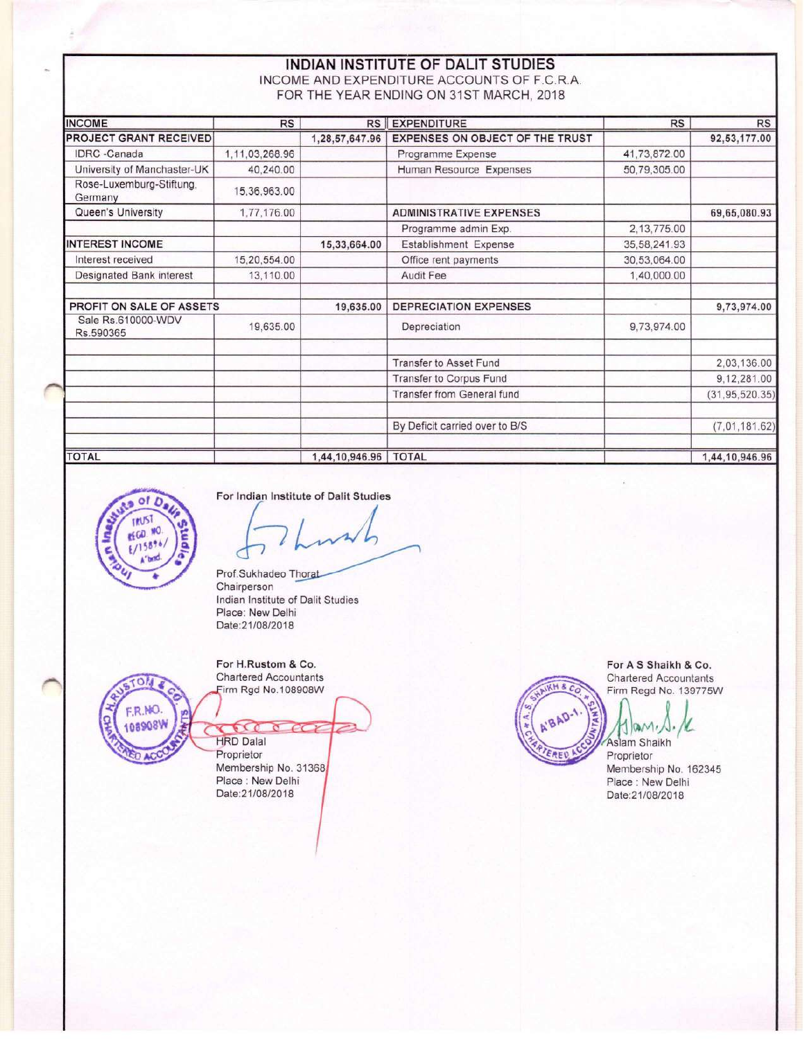### INDIAN INSTITUTE OF DALIT STUDIES INCOME AND EXPENDITURE ACCOUNTS OF F.C.R.A. FOR THE YEAR ENDING ON 31ST MARCH, 2018

| <b>INCOME</b>                       | <b>RS</b>      | RS             | <b>EXPENDITURE</b>              | <b>RS</b>    | <b>RS</b>        |
|-------------------------------------|----------------|----------------|---------------------------------|--------------|------------------|
| <b>PROJECT GRANT RECEIVED</b>       |                | 1,28,57,647.96 | EXPENSES ON OBJECT OF THE TRUST |              | 92,53,177.00     |
| <b>IDRC</b> -Canada                 | 1,11,03,268.96 |                | Programme Expense               | 41,73,872.00 |                  |
| University of Manchaster-UK         | 40,240.00      |                | Human Resource Expenses         | 50,79,305.00 |                  |
| Rose-Luxemburg-Stiftung,<br>Germany | 15,36,963.00   |                |                                 |              |                  |
| Queen's University                  | 1,77,176.00    |                | <b>ADMINISTRATIVE EXPENSES</b>  |              | 69,65,080.93     |
|                                     |                |                | Programme admin Exp.            | 2,13,775.00  |                  |
| <b>INTEREST INCOME</b>              |                | 15,33,664.00   | Establishment Expense           | 35,58,241.93 |                  |
| Interest received                   | 15,20,554.00   |                | Office rent payments            | 30,53,064.00 |                  |
| Designated Bank interest            | 13,110.00      |                | Audit Fee                       | 1,40,000.00  |                  |
| PROFIT ON SALE OF ASSETS            |                | 19,635.00      | <b>DEPRECIATION EXPENSES</b>    |              | 9,73,974.00      |
| Sale Rs.610000-WDV<br>Rs.590365     | 19,635.00      |                | Depreciation                    | 9,73,974.00  |                  |
|                                     |                |                | <b>Transfer to Asset Fund</b>   |              | 2,03,136.00      |
|                                     |                |                | Transfer to Corpus Fund         |              | 9,12,281.00      |
|                                     |                |                | Transfer from General fund      |              | (31, 95, 520.35) |
|                                     |                |                | By Deficit carried over to B/S  |              | (7,01,181.62)    |
| <b>TOTAL</b>                        |                | 1,44,10,946.96 | <b>TOTAL</b>                    |              | 1,44,10,946.96   |



For Indian Institute of Dalit Studies

Prof.Sukhadeo Thorat Chairperson Indian Institute of Dalit Studies Place: New Delhi Date:21/08/2018



For H.Rustom & Co. **Chartered Accountants** 

Firm Rgd No.108908W

 $\sigma$ **HRD Dalal** Proprietor Membership No. 31368 Place : New Delhi Date:21/08/2018

For A S Shaikh & Co. **Chartered Accountants** Firm Regd No. 139775W

U Aslam Shaikh

RED

Proprietor Membership No. 162345 Place : New Delhi Date:21/08/2018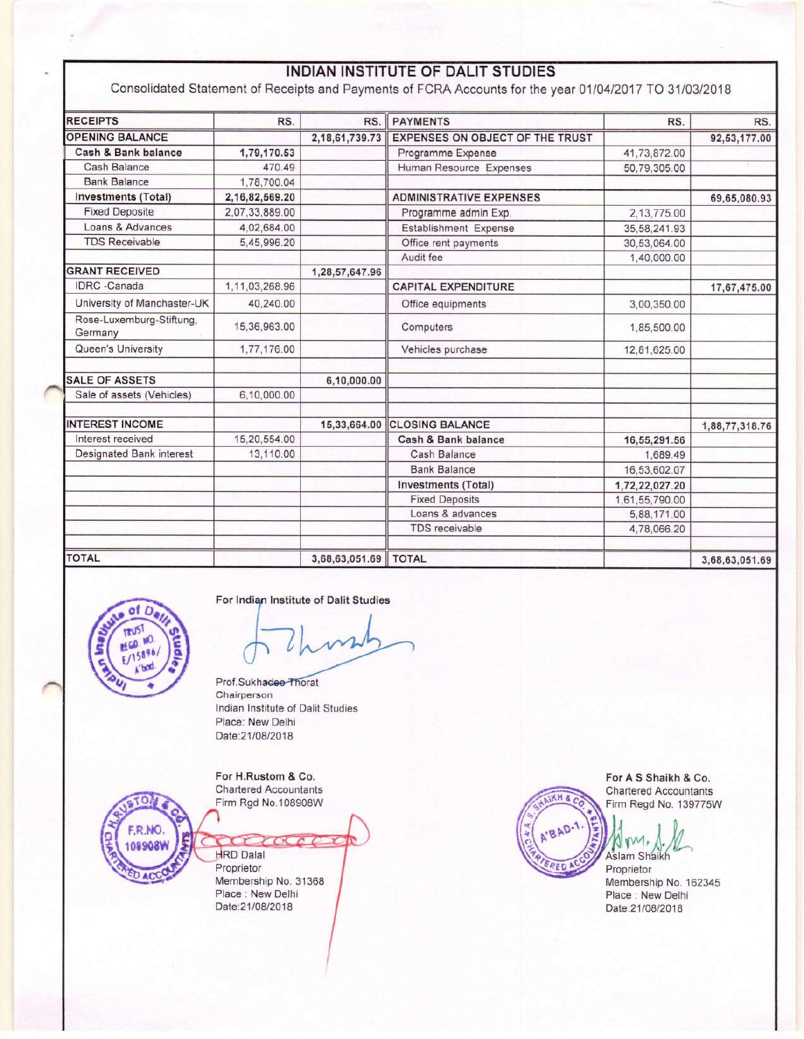# INDIAN INSTITUTE OF DALIT STUDIES

Consolidated Statement of Receipts and Payments of FCRA Accounts for the year 01/04/2017 TO 31/03/2018

| <b>RECEIPTS</b>                     | RS.            | RS.            | <b>PAYMENTS</b>                 | RS.            | RS.            |
|-------------------------------------|----------------|----------------|---------------------------------|----------------|----------------|
| <b>OPENING BALANCE</b>              |                | 2,18,61,739.73 | EXPENSES ON OBJECT OF THE TRUST |                | 92,53,177.00   |
| Cash & Bank balance                 | 1,79,170.53    |                | Programme Expense               | 41,73,872.00   |                |
| Cash Balance                        | 470.49         |                | Human Resource Expenses         | 50,79,305.00   |                |
| <b>Bank Balance</b>                 | 1,78,700.04    |                |                                 |                |                |
| <b>Investments (Total)</b>          | 2,16,82,569.20 |                | <b>ADMINISTRATIVE EXPENSES</b>  |                | 69,65,080.93   |
| <b>Fixed Deposite</b>               | 2.07.33.889.00 |                | Programme admin Exp.            | 2,13,775.00    |                |
| Loans & Advances                    | 4.02.684.00    |                | Establishment Expense           | 35,58,241.93   |                |
| <b>TDS Receivable</b>               | 5,45,996.20    |                | Office rent payments            | 30,53,064.00   |                |
|                                     |                |                | Audit fee                       | 1,40,000.00    |                |
| <b>GRANT RECEIVED</b>               |                | 1,28,57,647.96 |                                 |                |                |
| <b>IDRC</b> -Canada                 | 1,11,03,268.96 |                | <b>CAPITAL EXPENDITURE</b>      |                | 17,67,475.00   |
| University of Manchaster-UK         | 40,240.00      |                | Office equipments               | 3,00,350.00    |                |
| Rose-Luxemburg-Stiftung,<br>Germany | 15,36,963.00   |                | Computers                       | 1,85,500.00    |                |
| Queen's University                  | 1,77,176.00    |                | Vehicles purchase               | 12,81,625.00   |                |
| <b>SALE OF ASSETS</b>               |                | 6,10,000.00    |                                 |                |                |
| Sale of assets (Vehicles)           | 6,10,000.00    |                |                                 |                |                |
| <b>INTEREST INCOME</b>              |                | 15,33,664.00   | <b>CLOSING BALANCE</b>          |                | 1,88,77,318.76 |
| Interest received                   | 15,20,554.00   |                | Cash & Bank balance             | 16,55,291.56   |                |
| Designated Bank interest            | 13,110.00      |                | Cash Balance                    | 1,689.49       |                |
|                                     |                |                | <b>Bank Balance</b>             | 16.53.602.07   |                |
|                                     |                |                | <b>Investments (Total)</b>      | 1,72,22,027.20 |                |
|                                     |                |                | <b>Fixed Deposits</b>           | 1,61,55,790.00 |                |
|                                     |                |                | Loans & advances                | 5,88,171.00    |                |
|                                     |                |                | <b>TDS</b> receivable           | 4,78,066.20    |                |
| <b>TOTAL</b>                        |                | 3,68,63,051.69 | <b>TOTAL</b>                    |                | 3,68,63,051.69 |



For Indian Institute of Dalit Studies

Prof.Sukhadee Thorat Chairperson Indian Institute of Dalit Studies Place: New Delhi Date:21/08/2018

For H.Rustom & Co. **Chartered Accountants** Firm Rgd No.108908W



**HRD Dalal** Proprietor Membership No. 31368 Place : New Delhi Date:21/08/2018

& HX

For A S Shaikh & Co. **Chartered Accountants** Firm Regd No. 139775W

Aslam Shaikh

Proprietor Membership No. 162345 Place : New Delhi Date:21/08/2018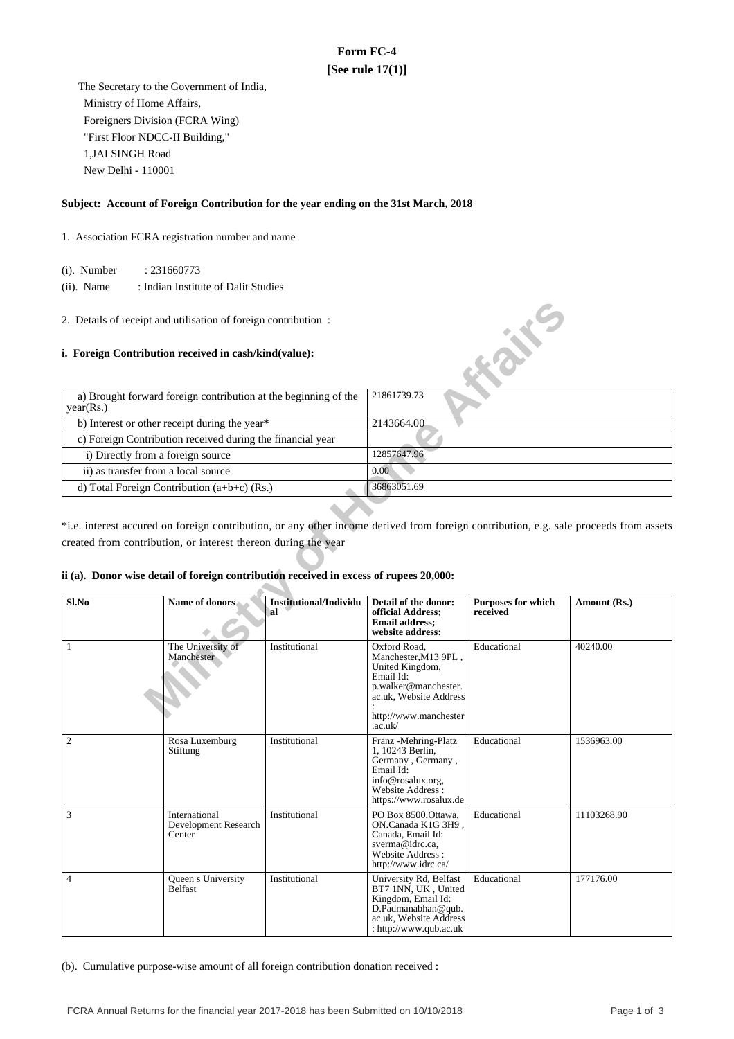## **Form FC-4 [See rule 17(1)]**

 The Secretary to the Government of India, Ministry of Home Affairs, Foreigners Division (FCRA Wing) "First Floor NDCC-II Building," 1,JAI SINGH Road New Delhi - 110001

#### **Subject: Account of Foreign Contribution for the year ending on the 31st March, 2018**

- 1. Association FCRA registration number and name
	- (i). Number : 231660773
	- (ii). Name : Indian Institute of Dalit Studies
- 2. Details of receipt and utilisation of foreign contribution :

#### **i. Foreign Contribution received in cash/kind(value):**

| a) Brought forward foreign contribution at the beginning of the<br>year(Rs.) | 21861739.73 |
|------------------------------------------------------------------------------|-------------|
| b) Interest or other receipt during the year*                                | 2143664.00  |
| c) Foreign Contribution received during the financial year                   |             |
| i) Directly from a foreign source                                            | 12857647.96 |
| ii) as transfer from a local source                                          | 0.00        |
| d) Total Foreign Contribution $(a+b+c)$ (Rs.)                                | 36863051.69 |

#### **ii (a). Donor wise detail of foreign contribution received in excess of rupees 20,000:**

|                                                                                                                                                                                                                                                                                                   | 2. Details of receipt and utilisation of foreign contribution:  |                                     |                                                                                                                                                            |                                       |              |  |
|---------------------------------------------------------------------------------------------------------------------------------------------------------------------------------------------------------------------------------------------------------------------------------------------------|-----------------------------------------------------------------|-------------------------------------|------------------------------------------------------------------------------------------------------------------------------------------------------------|---------------------------------------|--------------|--|
| i. Foreign Contribution received in cash/kind(value):                                                                                                                                                                                                                                             | <b>H</b> aire                                                   |                                     |                                                                                                                                                            |                                       |              |  |
| year(Rs.)                                                                                                                                                                                                                                                                                         | a) Brought forward foreign contribution at the beginning of the |                                     | 21861739.73                                                                                                                                                |                                       |              |  |
|                                                                                                                                                                                                                                                                                                   | b) Interest or other receipt during the year*                   |                                     | 2143664.00                                                                                                                                                 |                                       |              |  |
|                                                                                                                                                                                                                                                                                                   | c) Foreign Contribution received during the financial year      |                                     |                                                                                                                                                            |                                       |              |  |
| i) Directly from a foreign source                                                                                                                                                                                                                                                                 |                                                                 |                                     | 12857647.96                                                                                                                                                |                                       |              |  |
| ii) as transfer from a local source                                                                                                                                                                                                                                                               |                                                                 |                                     | 0.00                                                                                                                                                       |                                       |              |  |
|                                                                                                                                                                                                                                                                                                   | d) Total Foreign Contribution (a+b+c) (Rs.)                     |                                     | 36863051.69                                                                                                                                                |                                       |              |  |
| *i.e. interest accured on foreign contribution, or any other income derived from foreign contribution, e.g. sale proceeds from assets<br>created from contribution, or interest thereon during the year<br>ii (a). Donor wise detail of foreign contribution received in excess of rupees 20,000: |                                                                 |                                     |                                                                                                                                                            |                                       |              |  |
| Sl.No                                                                                                                                                                                                                                                                                             | Name of donors                                                  | <b>Institutional/Individu</b><br>al | Detail of the donor:<br>official Address;<br><b>Email address:</b><br>website address:                                                                     | <b>Purposes for which</b><br>received | Amount (Rs.) |  |
| $\mathbf{1}$                                                                                                                                                                                                                                                                                      | The University of<br>Manchester                                 | Institutional                       | Oxford Road.<br>Manchester, M13 9PL,<br>United Kingdom,<br>Email Id:<br>p.walker@manchester.<br>ac.uk. Website Address<br>http://www.manchester<br>.ac.uk/ | Educational                           | 40240.00     |  |
| $\mathfrak{2}$                                                                                                                                                                                                                                                                                    | Rosa Luxemburg<br>Stiftung                                      | Institutional                       | Franz - Mehring-Platz<br>1, 10243 Berlin,<br>Germany, Germany,<br>Email Id:<br>info@rosalux.org,<br>Website Address:<br>https://www.rosalux.de             | Educational                           | 1536963.00   |  |
| 3                                                                                                                                                                                                                                                                                                 | International<br>Development Research<br>Center                 | Institutional                       | PO Box 8500, Ottawa,<br>ON.Canada K1G 3H9,<br>Canada, Email Id:<br>sverma@idrc.ca,<br>Website Address:<br>http://www.idrc.ca/                              | Educational                           | 11103268.90  |  |
| $\overline{4}$                                                                                                                                                                                                                                                                                    | Queen s University<br>Belfast                                   | Institutional                       | University Rd, Belfast<br>BT7 1NN, UK, United<br>Kingdom, Email Id:<br>D.Padmanabhan@qub.<br>ac.uk, Website Address<br>: http://www.qub.ac.uk              | Educational                           | 177176.00    |  |

(b). Cumulative purpose-wise amount of all foreign contribution donation received :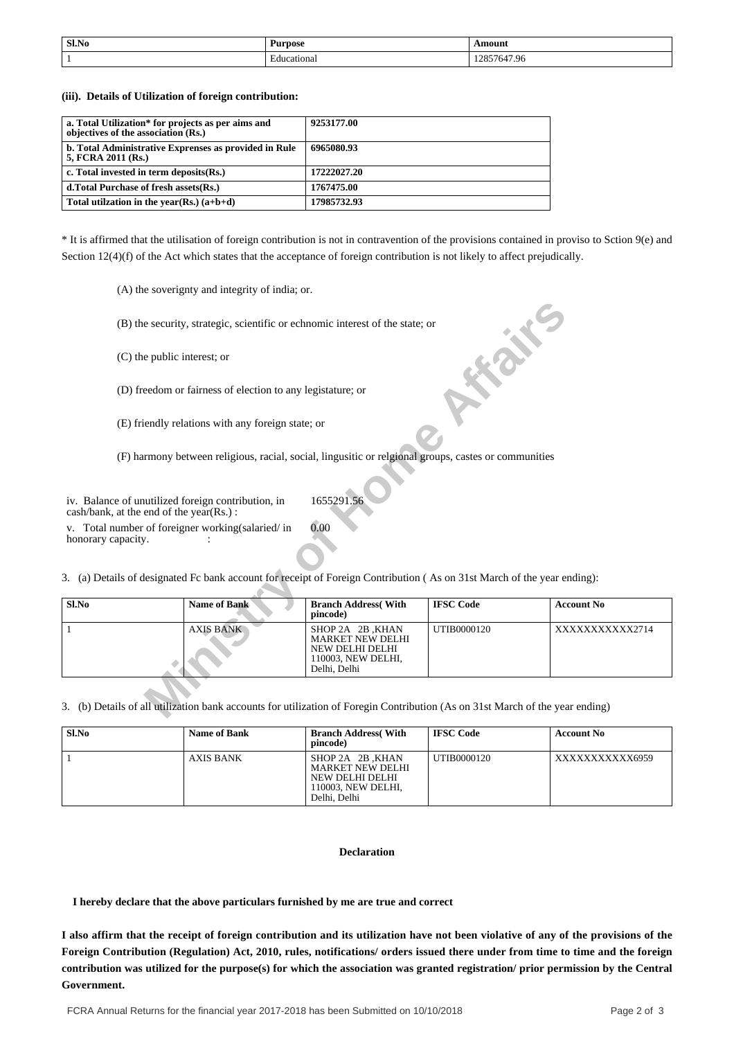| Sl.No | Ð<br>Purpose     | \moun\      |
|-------|------------------|-------------|
|       | cational<br>:duc | 12857647.96 |

**(iii). Details of Utilization of foreign contribution:**

| a. Total Utilization* for projects as per aims and<br>objectives of the association (Rs.) | 9253177.00  |
|-------------------------------------------------------------------------------------------|-------------|
| b. Total Administrative Exprenses as provided in Rule<br>5, FCRA 2011 (Rs.)               | 6965080.93  |
| c. Total invested in term deposits (Rs.)                                                  | 17222027.20 |
| d. Total Purchase of fresh assets (Rs.)                                                   | 1767475.00  |
| Total utilization in the year(Rs.) $(a+b+d)$                                              | 17985732.93 |

\* It is affirmed that the utilisation of foreign contribution is not in contravention of the provisions contained in proviso to Sction 9(e) and Section 12(4)(f) of the Act which states that the acceptance of foreign contribution is not likely to affect prejudically.

(A) the soverignty and integrity of india; or.

| (B) the security, strategic, scientific or echnomic interest of the state; or                                                 |                                                                                                                         |                                                                                                      |             |                |  |  |  |
|-------------------------------------------------------------------------------------------------------------------------------|-------------------------------------------------------------------------------------------------------------------------|------------------------------------------------------------------------------------------------------|-------------|----------------|--|--|--|
| (C) the public interest; or                                                                                                   |                                                                                                                         |                                                                                                      |             |                |  |  |  |
|                                                                                                                               | (D) freedom or fairness of election to any legistature; or                                                              |                                                                                                      |             |                |  |  |  |
|                                                                                                                               | (E) friendly relations with any foreign state; or                                                                       |                                                                                                      |             |                |  |  |  |
|                                                                                                                               | (F) harmony between religious, racial, social, lingusitic or relgional groups, castes or communities                    |                                                                                                      |             |                |  |  |  |
| iv. Balance of unutilized foreign contribution, in<br>cash/bank, at the end of the year(Rs.):                                 |                                                                                                                         | 1655291.56                                                                                           |             |                |  |  |  |
| honorary capacity.                                                                                                            | 0.00<br>v. Total number of foreigner working (salaried/in                                                               |                                                                                                      |             |                |  |  |  |
|                                                                                                                               | 3. (a) Details of designated Fc bank account for receipt of Foreign Contribution (As on 31st March of the year ending): |                                                                                                      |             |                |  |  |  |
| Sl.No                                                                                                                         | <b>IFSC Code</b><br><b>Name of Bank</b><br><b>Branch Address</b> (With<br><b>Account No</b><br>pincode)                 |                                                                                                      |             |                |  |  |  |
| 1                                                                                                                             | <b>AXIS BANK</b>                                                                                                        | SHOP 2A 2B, KHAN<br><b>MARKET NEW DELHI</b><br>NEW DELHI DELHI<br>110003, NEW DELHI,<br>Delhi, Delhi | UTIB0000120 | XXXXXXXXXX2714 |  |  |  |
| 3. (b) Details of all utilization bank accounts for utilization of Foregin Contribution (As on 31st March of the year ending) |                                                                                                                         |                                                                                                      |             |                |  |  |  |

| Sl.No | <b>Name of Bank</b> | <b>Branch Address</b> (With<br>pincode)                                                       | <b>IFSC Code</b> | <b>Account No</b> |
|-------|---------------------|-----------------------------------------------------------------------------------------------|------------------|-------------------|
|       | <b>AXIS BANK</b>    | SHOP 2A 2B, KHAN<br>MARKET NEW DELHI<br>NEW DELHI DELHI<br>110003. NEW DELHI.<br>Delhi, Delhi | UTIB0000120      | XXXXXXXXXXX6959   |

#### **Declaration**

 **I hereby declare that the above particulars furnished by me are true and correct**

**I also affirm that the receipt of foreign contribution and its utilization have not been violative of any of the provisions of the Foreign Contribution (Regulation) Act, 2010, rules, notifications/ orders issued there under from time to time and the foreign contribution was utilized for the purpose(s) for which the association was granted registration/ prior permission by the Central Government.**